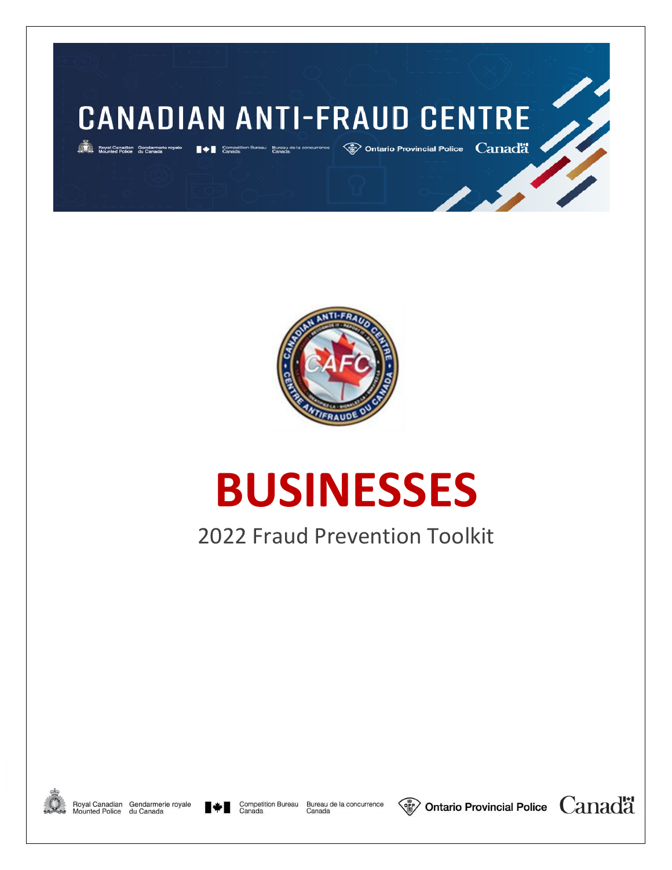



# **BUSINESSES**

# 2022 Fraud Prevention Toolkit



Royal Canadian Gendarmerie royale<br>Mounted Police du Canada



Competition Bureau Bureau de la concurrence<br>Canada Canada



 $\langle$  Ontario Provincial Police  $\;$  Canada

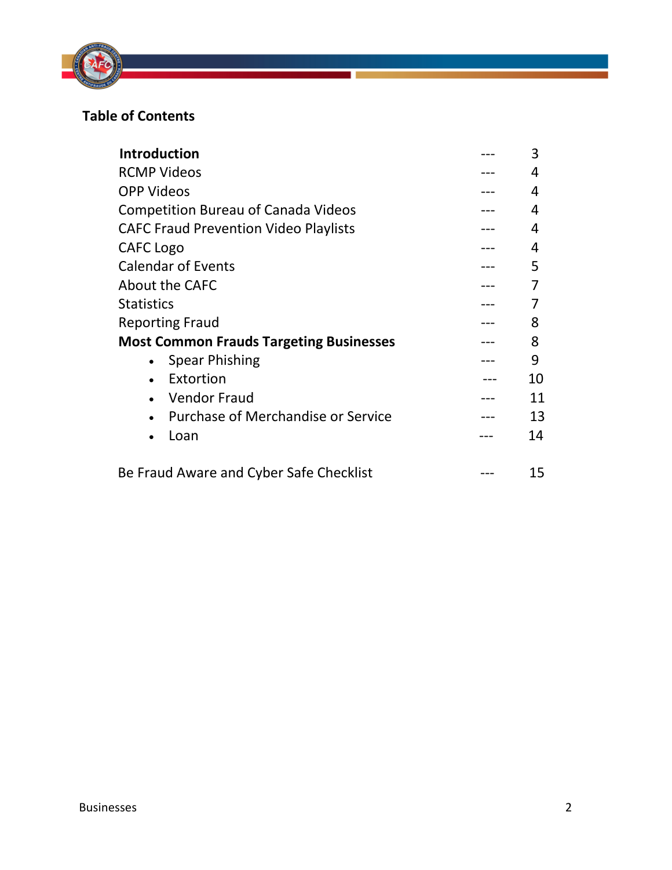

# **Table of Contents**

| <b>Introduction</b>                            | 3  |
|------------------------------------------------|----|
| <b>RCMP Videos</b>                             | 4  |
| <b>OPP Videos</b>                              | 4  |
| <b>Competition Bureau of Canada Videos</b>     | 4  |
| <b>CAFC Fraud Prevention Video Playlists</b>   | 4  |
| CAFC Logo                                      | 4  |
| <b>Calendar of Events</b>                      | 5  |
| About the CAFC                                 |    |
| <b>Statistics</b>                              |    |
| <b>Reporting Fraud</b>                         | 8  |
| <b>Most Common Frauds Targeting Businesses</b> | 8  |
| <b>Spear Phishing</b><br>$\bullet$             | 9  |
| Extortion<br>$\bullet$                         | 10 |
| <b>Vendor Fraud</b>                            | 11 |
| Purchase of Merchandise or Service             | 13 |
| Loan<br>$\bullet$                              | 14 |
| Be Fraud Aware and Cyber Safe Checklist        | 15 |

a.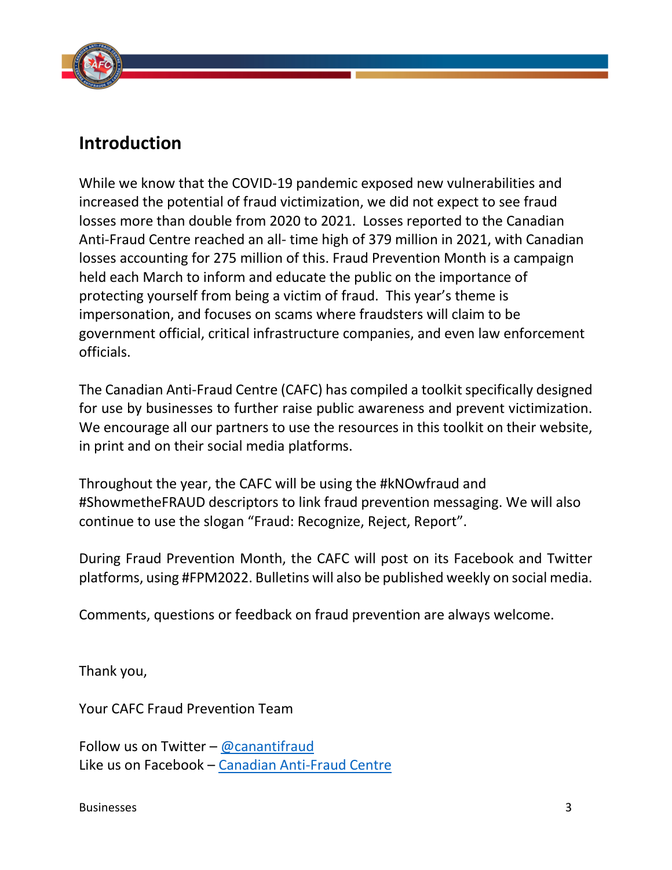

# **Introduction**

While we know that the COVID-19 pandemic exposed new vulnerabilities and increased the potential of fraud victimization, we did not expect to see fraud losses more than double from 2020 to 2021. Losses reported to the Canadian Anti-Fraud Centre reached an all- time high of 379 million in 2021, with Canadian losses accounting for 275 million of this. Fraud Prevention Month is a campaign held each March to inform and educate the public on the importance of protecting yourself from being a victim of fraud. This year's theme is impersonation, and focuses on scams where fraudsters will claim to be government official, critical infrastructure companies, and even law enforcement officials.

The Canadian Anti-Fraud Centre (CAFC) has compiled a toolkit specifically designed for use by businesses to further raise public awareness and prevent victimization. We encourage all our partners to use the resources in this toolkit on their website, in print and on their social media platforms.

Throughout the year, the CAFC will be using the #kNOwfraud and #ShowmetheFRAUD descriptors to link fraud prevention messaging. We will also continue to use the slogan "Fraud: Recognize, Reject, Report".

During Fraud Prevention Month, the CAFC will post on its Facebook and Twitter platforms, using #FPM2022. Bulletins will also be published weekly on social media.

Comments, questions or feedback on fraud prevention are always welcome.

Thank you,

Your CAFC Fraud Prevention Team

Follow us on Twitter – [@canantifraud](http://www.twitter.com/canantifraud) Like us on Facebook – [Canadian Anti-Fraud Centre](http://www.facebook.com/pages/Canadian-Anti-Fraud-Centre-Centre-antifraude-du-Canada/143784455661162)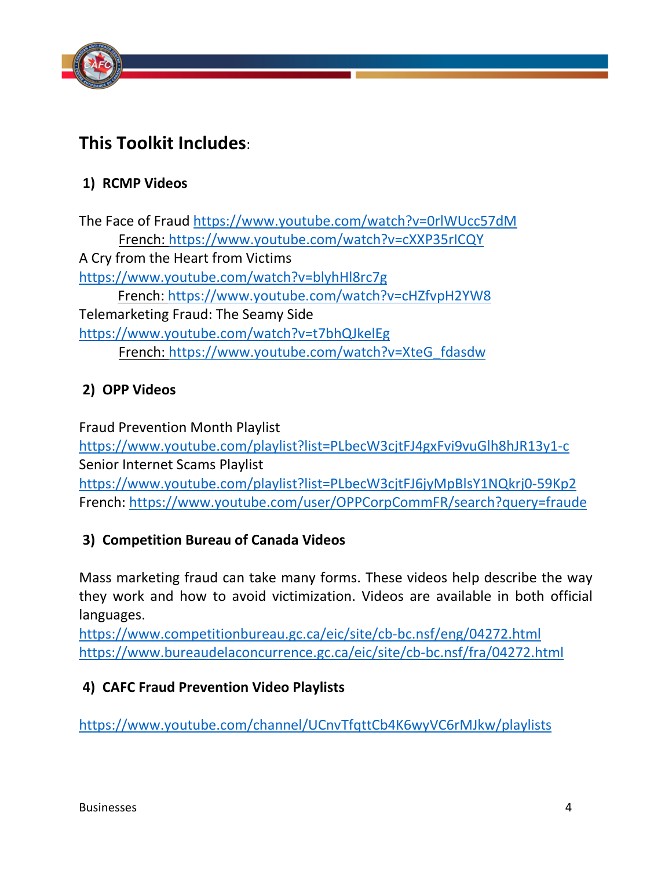

# **This Toolkit Includes**:

# **1) RCMP Videos**

The Face of Fraud<https://www.youtube.com/watch?v=0rlWUcc57dM> French:<https://www.youtube.com/watch?v=cXXP35rICQY> A Cry from the Heart from Victims <https://www.youtube.com/watch?v=blyhHl8rc7g> French:<https://www.youtube.com/watch?v=cHZfvpH2YW8> Telemarketing Fraud: The Seamy Side <https://www.youtube.com/watch?v=t7bhQJkelEg> French: [https://www.youtube.com/watch?v=XteG\\_fdasdw](https://www.youtube.com/watch?v=XteG_fdasdw)

# **2) OPP Videos**

Fraud Prevention Month Playlist <https://www.youtube.com/playlist?list=PLbecW3cjtFJ4gxFvi9vuGlh8hJR13y1-c> Senior Internet Scams Playlist <https://www.youtube.com/playlist?list=PLbecW3cjtFJ6jyMpBlsY1NQkrj0-59Kp2> French:<https://www.youtube.com/user/OPPCorpCommFR/search?query=fraude>

# **3) Competition Bureau of Canada Videos**

Mass marketing fraud can take many forms. These videos help describe the way they work and how to avoid victimization. Videos are available in both official languages.

https://www.competitionbureau.gc.ca/eic/site/cb-bc.nsf/eng/04272.html https://www.bureaudelaconcurrence.gc.ca/eic/site/cb-bc.nsf/fra/04272.html

# **4) CAFC Fraud Prevention Video Playlists**

<https://www.youtube.com/channel/UCnvTfqttCb4K6wyVC6rMJkw/playlists>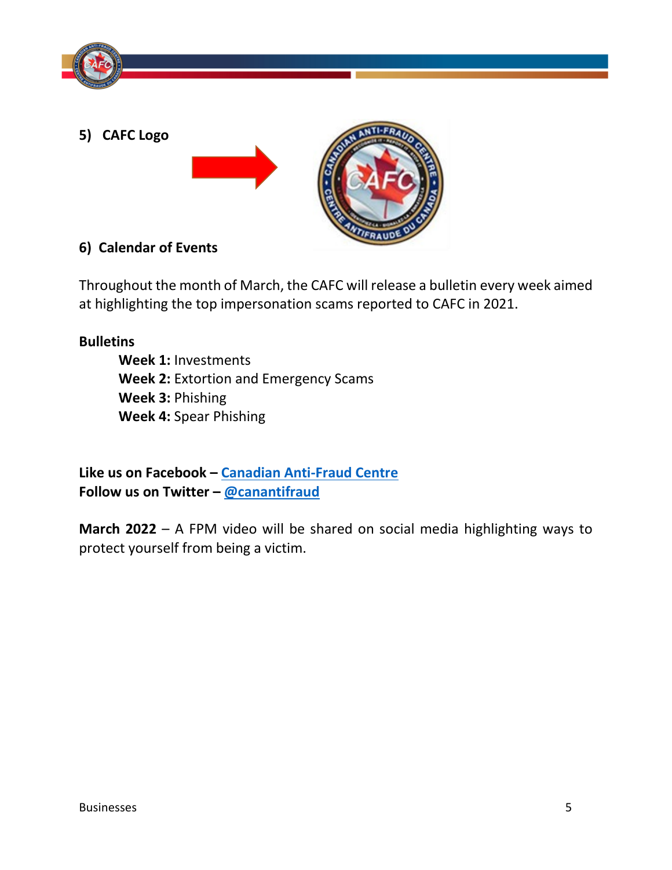

**5) CAFC Logo** 



# **6) Calendar of Events**

Throughout the month of March, the CAFC will release a bulletin every week aimed at highlighting the top impersonation scams reported to CAFC in 2021.

# **Bulletins**

**Week 1:** Investments **Week 2:** Extortion and Emergency Scams **Week 3:** Phishing **Week 4:** Spear Phishing

**Like us on Facebook – [Canadian Anti-Fraud Centre](http://www.facebook.com/pages/Canadian-Anti-Fraud-Centre-Centre-antifraude-du-Canada/143784455661162) Follow us on Twitter – [@canantifraud](http://www.twitter.com/canantifraud)**

**March 2022** – A FPM video will be shared on social media highlighting ways to protect yourself from being a victim.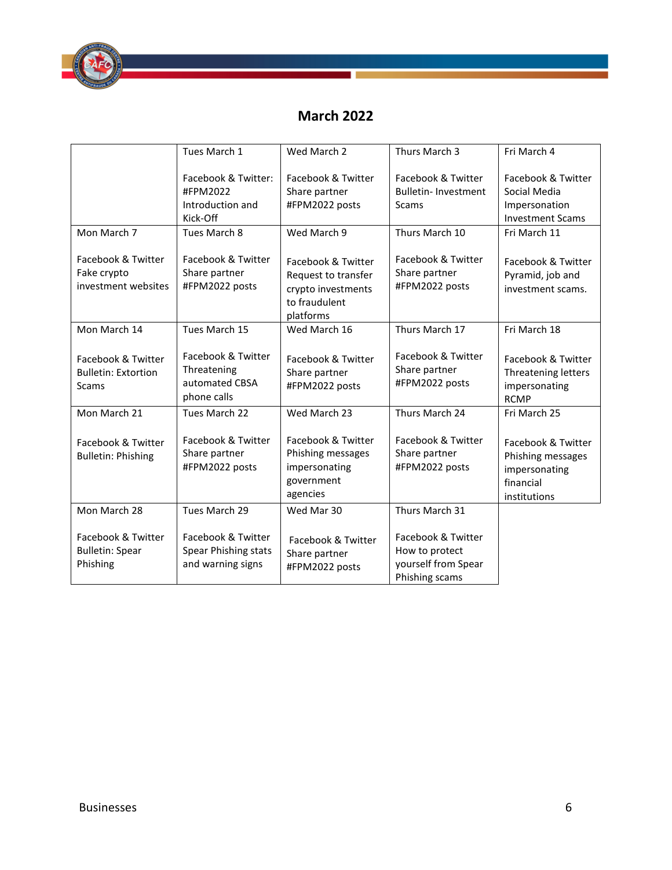

# **March 2022**

|                                                                  | Tues March 1                                                       | Wed March 2                                                                                   | Thurs March 3                                                                 | Fri March 4                                                                           |
|------------------------------------------------------------------|--------------------------------------------------------------------|-----------------------------------------------------------------------------------------------|-------------------------------------------------------------------------------|---------------------------------------------------------------------------------------|
|                                                                  | Facebook & Twitter:<br>#FPM2022<br>Introduction and<br>Kick-Off    | Facebook & Twitter<br>Share partner<br>#FPM2022 posts                                         | Facebook & Twitter<br><b>Bulletin-Investment</b><br><b>Scams</b>              | Facebook & Twitter<br>Social Media<br>Impersonation<br><b>Investment Scams</b>        |
| Mon March 7                                                      | Tues March 8                                                       | Wed March 9                                                                                   | Thurs March 10                                                                | Fri March 11                                                                          |
| Facebook & Twitter<br>Fake crypto<br>investment websites         | Facebook & Twitter<br>Share partner<br>#FPM2022 posts              | Facebook & Twitter<br>Request to transfer<br>crypto investments<br>to fraudulent<br>platforms | Facebook & Twitter<br>Share partner<br>#FPM2022 posts                         | Facebook & Twitter<br>Pyramid, job and<br>investment scams.                           |
| Mon March 14                                                     | Tues March 15                                                      | Wed March 16                                                                                  | Thurs March 17                                                                | Fri March 18                                                                          |
| Facebook & Twitter<br><b>Bulletin: Extortion</b><br><b>Scams</b> | Facebook & Twitter<br>Threatening<br>automated CBSA<br>phone calls | Facebook & Twitter<br>Share partner<br>#FPM2022 posts                                         | Facebook & Twitter<br>Share partner<br>#FPM2022 posts                         | Facebook & Twitter<br>Threatening letters<br>impersonating<br><b>RCMP</b>             |
| Mon March 21                                                     | Tues March 22                                                      | Wed March 23                                                                                  | Thurs March 24                                                                | Fri March 25                                                                          |
| Facebook & Twitter<br><b>Bulletin: Phishing</b>                  | Facebook & Twitter<br>Share partner<br>#FPM2022 posts              | Facebook & Twitter<br>Phishing messages<br>impersonating<br>government<br>agencies            | Facebook & Twitter<br>Share partner<br>#FPM2022 posts                         | Facebook & Twitter<br>Phishing messages<br>impersonating<br>financial<br>institutions |
| Mon March 28                                                     | Tues March 29                                                      | Wed Mar 30                                                                                    | Thurs March 31                                                                |                                                                                       |
| Facebook & Twitter<br><b>Bulletin: Spear</b><br>Phishing         | Facebook & Twitter<br>Spear Phishing stats<br>and warning signs    | Facebook & Twitter<br>Share partner<br>#FPM2022 posts                                         | Facebook & Twitter<br>How to protect<br>yourself from Spear<br>Phishing scams |                                                                                       |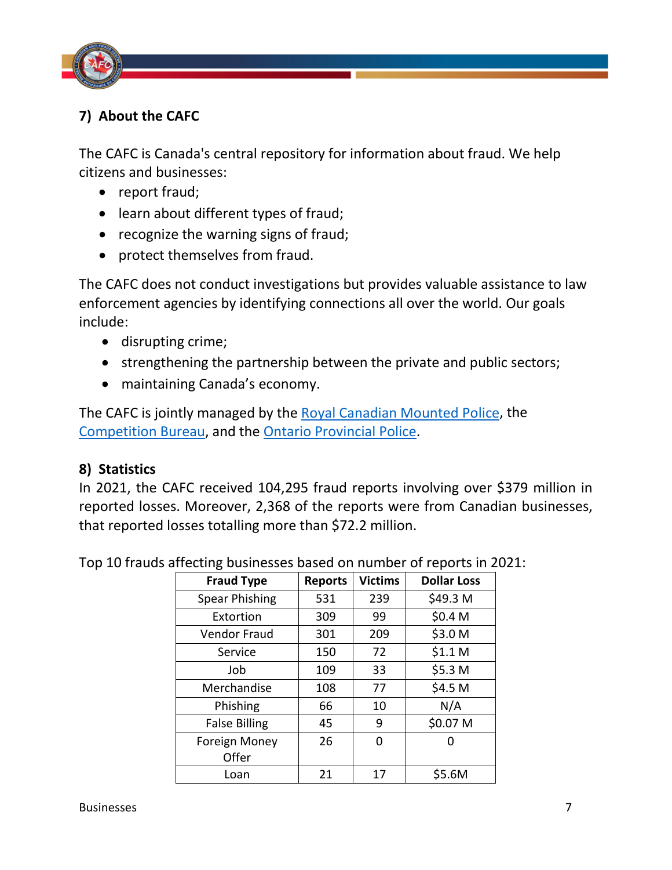

# **7) About the CAFC**

The CAFC is Canada's central repository for information about fraud. We help citizens and businesses:

- report fraud;
- learn about different types of fraud;
- recognize the warning signs of fraud;
- protect themselves from fraud.

The CAFC does not conduct investigations but provides valuable assistance to law enforcement agencies by identifying connections all over the world. Our goals include:

- disrupting crime;
- strengthening the partnership between the private and public sectors;
- maintaining Canada's economy.

The CAFC is jointly managed by the [Royal Canadian Mounted Police,](http://www.rcmp-grc.gc.ca/en/home) the [Competition Bureau,](https://www.competitionbureau.gc.ca/eic/site/cb-bc.nsf/eng/home) and the [Ontario Provincial Police.](https://www.opp.ca/)

#### **8) Statistics**

In 2021, the CAFC received 104,295 fraud reports involving over \$379 million in reported losses. Moreover, 2,368 of the reports were from Canadian businesses, that reported losses totalling more than \$72.2 million.

| <b>Fraud Type</b>     | <b>Reports</b> | <b>Victims</b> | <b>Dollar Loss</b> |
|-----------------------|----------------|----------------|--------------------|
| <b>Spear Phishing</b> | 531            | 239            | \$49.3 M           |
| Extortion             | 309            | 99             | \$0.4 M            |
| <b>Vendor Fraud</b>   | 301            | 209            | \$3.0 M            |
| Service               | 150            | 72             | \$1.1 <sub>M</sub> |
| Job                   | 109            | 33             | \$5.3 M            |
| Merchandise           | 108            | 77             | \$4.5 M            |
| Phishing              | 66             | 10             | N/A                |
| <b>False Billing</b>  | 45             | 9              | \$0.07 M           |
| <b>Foreign Money</b>  | 26             | 0              |                    |
| Offer                 |                |                |                    |
| Loan                  | 21             | 17             | \$5.6M             |

Top 10 frauds affecting businesses based on number of reports in 2021: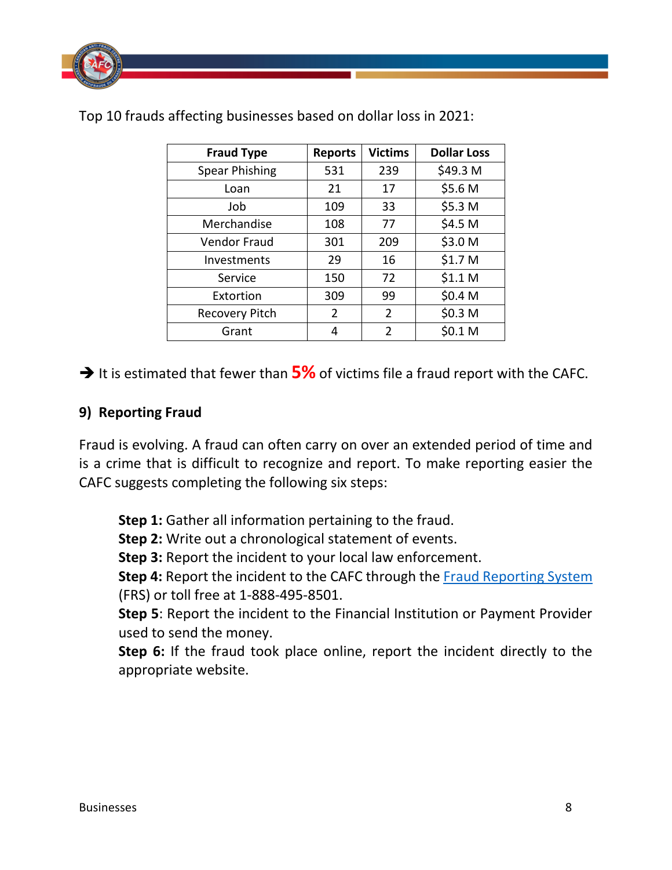

| <b>Fraud Type</b>     | <b>Reports</b> | <b>Victims</b> | <b>Dollar Loss</b> |
|-----------------------|----------------|----------------|--------------------|
| <b>Spear Phishing</b> | 531            | 239            | \$49.3 M           |
| Loan                  | 21             | 17             | \$5.6 M            |
| Job                   | 109            | 33             | \$5.3 M            |
| Merchandise           | 108            | 77             | \$4.5 M            |
| <b>Vendor Fraud</b>   | 301            | 209            | \$3.0 M            |
| Investments           | 29             | 16             | \$1.7 M            |
| Service               | 150            | 72             | \$1.1 <sub>M</sub> |
| Extortion             | 309            | 99             | \$0.4 M            |
| <b>Recovery Pitch</b> | 2              | 2              | \$0.3 M            |
| Grant                 | 4              | 2              | \$0.1 M            |

Top 10 frauds affecting businesses based on dollar loss in 2021:

 $\rightarrow$  It is estimated that fewer than  $\frac{5\%}{5}$  of victims file a fraud report with the CAFC.

#### **9) Reporting Fraud**

Fraud is evolving. A fraud can often carry on over an extended period of time and is a crime that is difficult to recognize and report. To make reporting easier the CAFC suggests completing the following six steps:

**Step 1:** Gather all information pertaining to the fraud.

**Step 2:** Write out a chronological statement of events.

**Step 3:** Report the incident to your local law enforcement.

**Step 4:** Report the incident to the CAFC through the [Fraud Reporting System](http://www.antifraudcentre-centreantifraude.ca/reportincident-signalerincident/index-eng.htm) (FRS) or toll free at 1-888-495-8501.

**Step 5**: Report the incident to the Financial Institution or Payment Provider used to send the money.

**Step 6:** If the fraud took place online, report the incident directly to the appropriate website.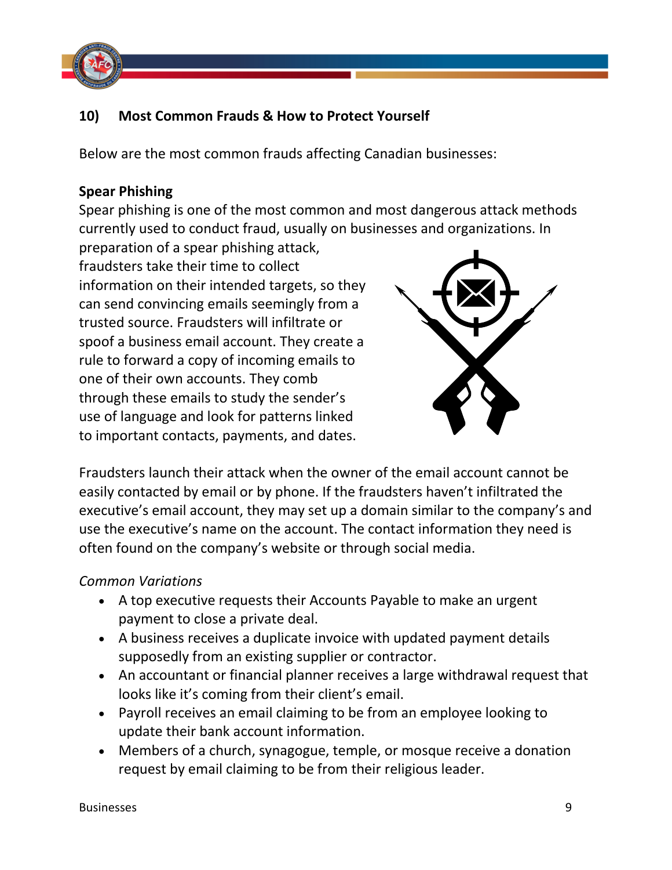

# **10) Most Common Frauds & How to Protect Yourself**

Below are the most common frauds affecting Canadian businesses:

#### **Spear Phishing**

Spear phishing is one of the most common and most dangerous attack methods currently used to conduct fraud, usually on businesses and organizations. In

preparation of a spear phishing attack, fraudsters take their time to collect information on their intended targets, so they can send convincing emails seemingly from a trusted source. Fraudsters will infiltrate or spoof a business email account. They create a rule to forward a copy of incoming emails to one of their own accounts. They comb through these emails to study the sender's use of language and look for patterns linked to important contacts, payments, and dates.



Fraudsters launch their attack when the owner of the email account cannot be easily contacted by email or by phone. If the fraudsters haven't infiltrated the executive's email account, they may set up a domain similar to the company's and use the executive's name on the account. The contact information they need is often found on the company's website or through social media.

#### *Common Variations*

- A top executive requests their Accounts Payable to make an urgent payment to close a private deal.
- A business receives a duplicate invoice with updated payment details supposedly from an existing supplier or contractor.
- An accountant or financial planner receives a large withdrawal request that looks like it's coming from their client's email.
- Payroll receives an email claiming to be from an employee looking to update their bank account information.
- Members of a church, synagogue, temple, or mosque receive a donation request by email claiming to be from their religious leader.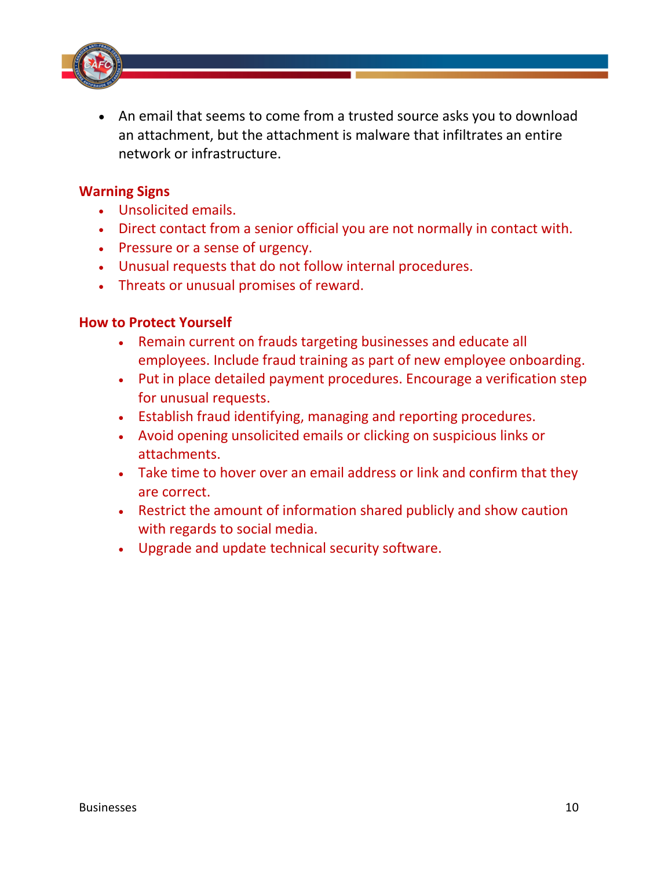

• An email that seems to come from a trusted source asks you to download an attachment, but the attachment is malware that infiltrates an entire network or infrastructure.

#### **Warning Signs**

- Unsolicited emails.
- Direct contact from a senior official you are not normally in contact with.
- Pressure or a sense of urgency.
- Unusual requests that do not follow internal procedures.
- Threats or unusual promises of reward.

#### **How to Protect Yourself**

- Remain current on frauds targeting businesses and educate all employees. Include fraud training as part of new employee onboarding.
- Put in place detailed payment procedures. Encourage a verification step for unusual requests.
- Establish fraud identifying, managing and reporting procedures.
- Avoid opening unsolicited emails or clicking on suspicious links or attachments.
- Take time to hover over an email address or link and confirm that they are correct.
- Restrict the amount of information shared publicly and show caution with regards to social media.
- Upgrade and update technical security software.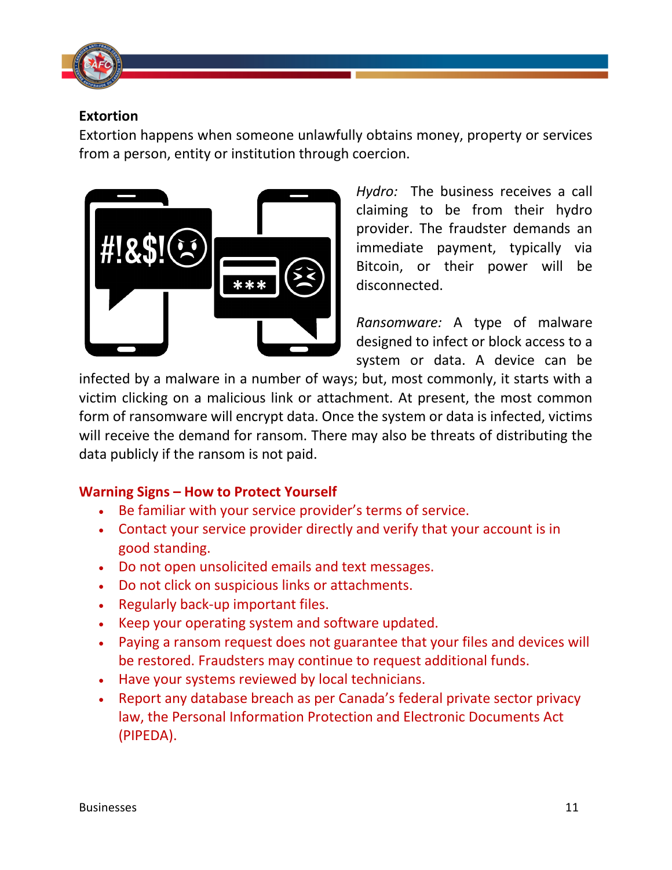

#### **Extortion**

Extortion happens when someone unlawfully obtains money, property or services from a person, entity or institution through coercion.



*Hydro:* The business receives a call claiming to be from their hydro provider. The fraudster demands an immediate payment, typically via Bitcoin, or their power will be disconnected.

*Ransomware:* A type of malware designed to infect or block access to a system or data. A device can be

infected by a malware in a number of ways; but, most commonly, it starts with a victim clicking on a malicious link or attachment. At present, the most common form of ransomware will encrypt data. Once the system or data is infected, victims will receive the demand for ransom. There may also be threats of distributing the data publicly if the ransom is not paid.

#### **Warning Signs – How to Protect Yourself**

- Be familiar with your service provider's terms of service.
- Contact your service provider directly and verify that your account is in good standing.
- Do not open unsolicited emails and text messages.
- Do not click on suspicious links or attachments.
- Regularly back-up important files.
- Keep your operating system and software updated.
- Paying a ransom request does not guarantee that your files and devices will be restored. Fraudsters may continue to request additional funds.
- Have your systems reviewed by local technicians.
- Report any database breach as per Canada's federal private sector privacy law, the Personal Information Protection and Electronic Documents Act (PIPEDA).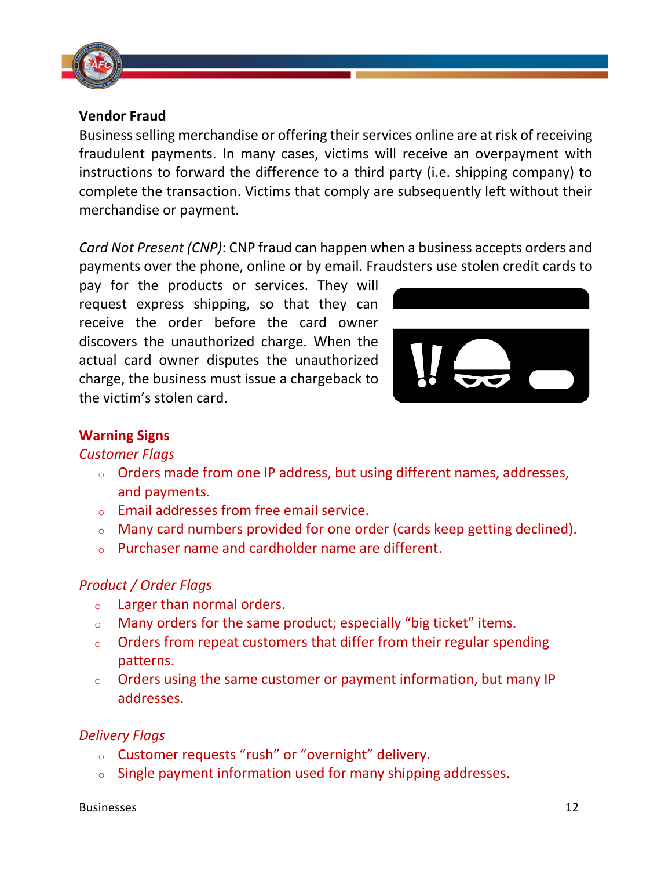

#### **Vendor Fraud**

Business selling merchandise or offering their services online are at risk of receiving fraudulent payments. In many cases, victims will receive an overpayment with instructions to forward the difference to a third party (i.e. shipping company) to complete the transaction. Victims that comply are subsequently left without their merchandise or payment.

*Card Not Present (CNP)*: CNP fraud can happen when a business accepts orders and payments over the phone, online or by email. Fraudsters use stolen credit cards to

pay for the products or services. They will request express shipping, so that they can receive the order before the card owner discovers the unauthorized charge. When the actual card owner disputes the unauthorized charge, the business must issue a chargeback to the victim's stolen card.



# **Warning Signs**

#### *Customer Flags*

- <sup>o</sup> Orders made from one IP address, but using different names, addresses, and payments.
- <sup>o</sup> Email addresses from free email service.
- $\circ$  Many card numbers provided for one order (cards keep getting declined).
- $\circ$  Purchaser name and cardholder name are different.

#### *Product / Order Flags*

- <sup>o</sup> Larger than normal orders.
- <sup>o</sup> Many orders for the same product; especially "big ticket" items.
- $\circ$  Orders from repeat customers that differ from their regular spending patterns.
- $\circ$  Orders using the same customer or payment information, but many IP addresses.

# *Delivery Flags*

- <sup>o</sup> Customer requests "rush" or "overnight" delivery.
- $\circ$  Single payment information used for many shipping addresses.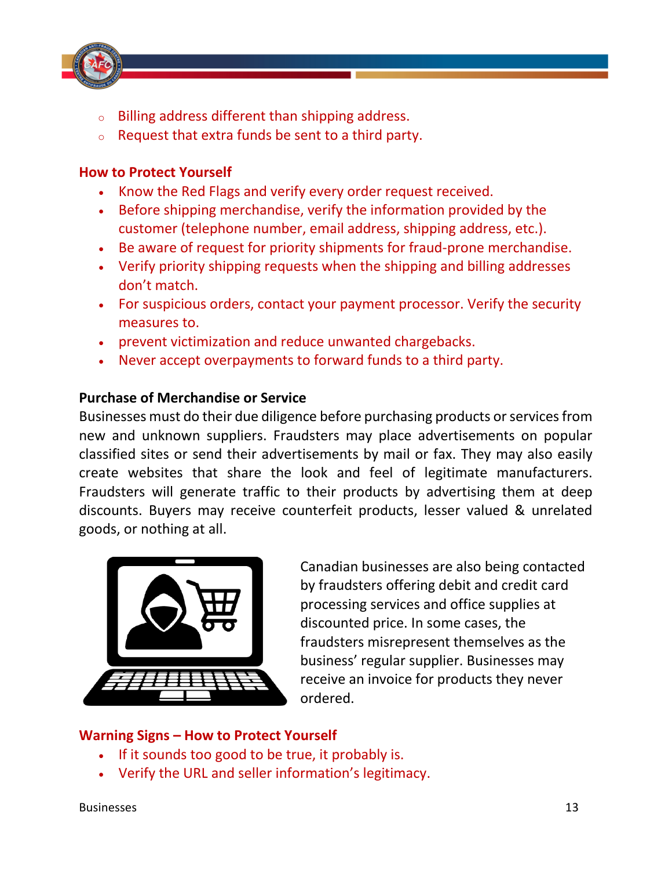

- Billing address different than shipping address.
- Request that extra funds be sent to a third party.

#### **How to Protect Yourself**

- Know the Red Flags and verify every order request received.
- Before shipping merchandise, verify the information provided by the customer (telephone number, email address, shipping address, etc.).
- Be aware of request for priority shipments for fraud-prone merchandise.
- Verify priority shipping requests when the shipping and billing addresses don't match.
- For suspicious orders, contact your payment processor. Verify the security measures to.
- prevent victimization and reduce unwanted chargebacks.
- Never accept overpayments to forward funds to a third party.

#### **Purchase of Merchandise or Service**

Businesses must do their due diligence before purchasing products or services from new and unknown suppliers. Fraudsters may place advertisements on popular classified sites or send their advertisements by mail or fax. They may also easily create websites that share the look and feel of legitimate manufacturers. Fraudsters will generate traffic to their products by advertising them at deep discounts. Buyers may receive counterfeit products, lesser valued & unrelated goods, or nothing at all.



Canadian businesses are also being contacted by fraudsters offering debit and credit card processing services and office supplies at discounted price. In some cases, the fraudsters misrepresent themselves as the business' regular supplier. Businesses may receive an invoice for products they never ordered.

#### **Warning Signs – How to Protect Yourself**

- If it sounds too good to be true, it probably is.
- Verify the URL and seller information's legitimacy.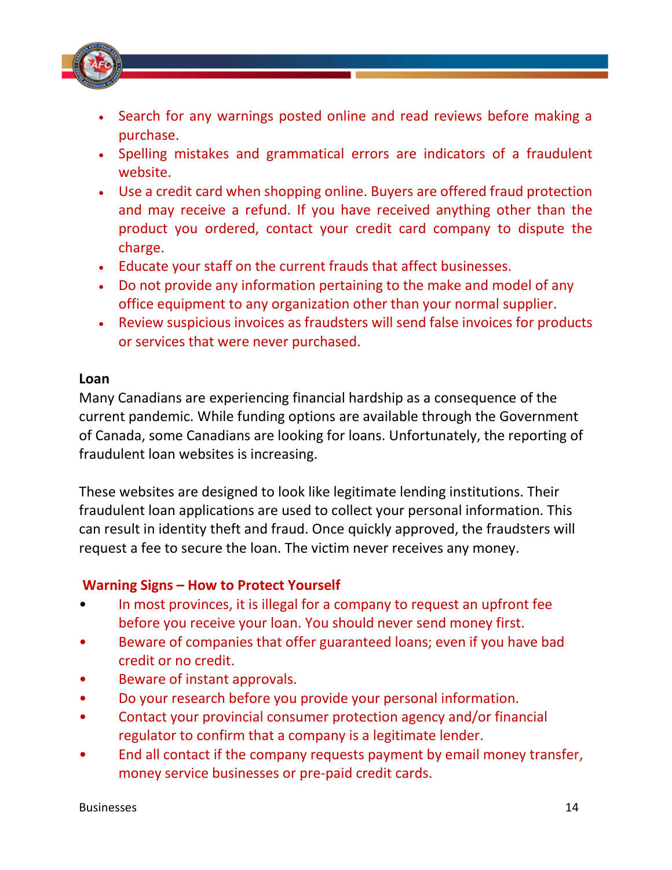

- Search for any warnings posted online and read reviews before making a purchase.
- Spelling mistakes and grammatical errors are indicators of a fraudulent website.
- Use a credit card when shopping online. Buyers are offered fraud protection and may receive a refund. If you have received anything other than the product you ordered, contact your credit card company to dispute the charge.
- Educate your staff on the current frauds that affect businesses.
- Do not provide any information pertaining to the make and model of any office equipment to any organization other than your normal supplier.
- Review suspicious invoices as fraudsters will send false invoices for products or services that were never purchased.

#### **Loan**

Many Canadians are experiencing financial hardship as a consequence of the current pandemic. While funding options are available through the Government of Canada, some Canadians are looking for loans. Unfortunately, the reporting of fraudulent loan websites is increasing.

These websites are designed to look like legitimate lending institutions. Their fraudulent loan applications are used to collect your personal information. This can result in identity theft and fraud. Once quickly approved, the fraudsters will request a fee to secure the loan. The victim never receives any money.

#### **Warning Signs – How to Protect Yourself**

- In most provinces, it is illegal for a company to request an upfront fee before you receive your loan. You should never send money first.
- Beware of companies that offer guaranteed loans; even if you have bad credit or no credit.
- Beware of instant approvals.
- Do your research before you provide your personal information.
- Contact your provincial consumer protection agency and/or financial regulator to confirm that a company is a legitimate lender.
- End all contact if the company requests payment by email money transfer, money service businesses or pre-paid credit cards.